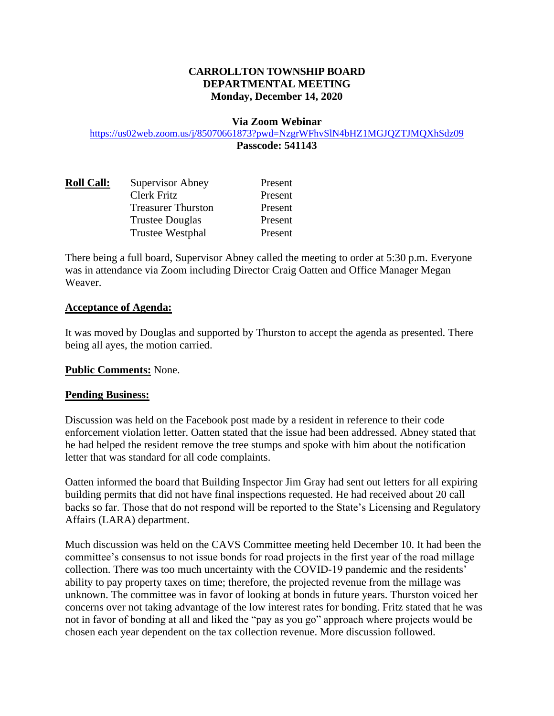# **CARROLLTON TOWNSHIP BOARD DEPARTMENTAL MEETING Monday, December 14, 2020**

#### **Via Zoom Webinar**

#### <https://us02web.zoom.us/j/85070661873?pwd=NzgrWFhvSlN4bHZ1MGJQZTJMQXhSdz09> **Passcode: 541143**

| <b>Roll Call:</b> | Supervisor Abney          | Present |
|-------------------|---------------------------|---------|
|                   | Clerk Fritz               | Present |
|                   | <b>Treasurer Thurston</b> | Present |
|                   | <b>Trustee Douglas</b>    | Present |
|                   | Trustee Westphal          | Present |

There being a full board, Supervisor Abney called the meeting to order at 5:30 p.m. Everyone was in attendance via Zoom including Director Craig Oatten and Office Manager Megan Weaver.

#### **Acceptance of Agenda:**

It was moved by Douglas and supported by Thurston to accept the agenda as presented. There being all ayes, the motion carried.

## **Public Comments:** None.

## **Pending Business:**

Discussion was held on the Facebook post made by a resident in reference to their code enforcement violation letter. Oatten stated that the issue had been addressed. Abney stated that he had helped the resident remove the tree stumps and spoke with him about the notification letter that was standard for all code complaints.

Oatten informed the board that Building Inspector Jim Gray had sent out letters for all expiring building permits that did not have final inspections requested. He had received about 20 call backs so far. Those that do not respond will be reported to the State's Licensing and Regulatory Affairs (LARA) department.

Much discussion was held on the CAVS Committee meeting held December 10. It had been the committee's consensus to not issue bonds for road projects in the first year of the road millage collection. There was too much uncertainty with the COVID-19 pandemic and the residents' ability to pay property taxes on time; therefore, the projected revenue from the millage was unknown. The committee was in favor of looking at bonds in future years. Thurston voiced her concerns over not taking advantage of the low interest rates for bonding. Fritz stated that he was not in favor of bonding at all and liked the "pay as you go" approach where projects would be chosen each year dependent on the tax collection revenue. More discussion followed.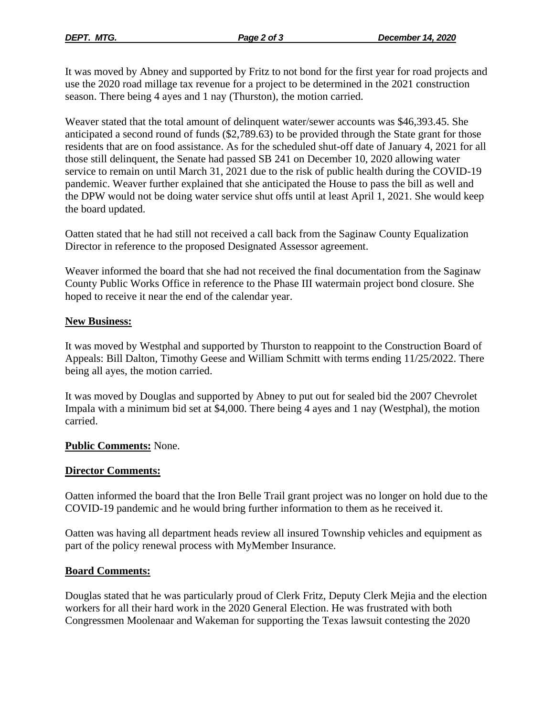It was moved by Abney and supported by Fritz to not bond for the first year for road projects and use the 2020 road millage tax revenue for a project to be determined in the 2021 construction season. There being 4 ayes and 1 nay (Thurston), the motion carried.

Weaver stated that the total amount of delinquent water/sewer accounts was \$46,393.45. She anticipated a second round of funds (\$2,789.63) to be provided through the State grant for those residents that are on food assistance. As for the scheduled shut-off date of January 4, 2021 for all those still delinquent, the Senate had passed SB 241 on December 10, 2020 allowing water service to remain on until March 31, 2021 due to the risk of public health during the COVID-19 pandemic. Weaver further explained that she anticipated the House to pass the bill as well and the DPW would not be doing water service shut offs until at least April 1, 2021. She would keep the board updated.

Oatten stated that he had still not received a call back from the Saginaw County Equalization Director in reference to the proposed Designated Assessor agreement.

Weaver informed the board that she had not received the final documentation from the Saginaw County Public Works Office in reference to the Phase III watermain project bond closure. She hoped to receive it near the end of the calendar year.

## **New Business:**

It was moved by Westphal and supported by Thurston to reappoint to the Construction Board of Appeals: Bill Dalton, Timothy Geese and William Schmitt with terms ending 11/25/2022. There being all ayes, the motion carried.

It was moved by Douglas and supported by Abney to put out for sealed bid the 2007 Chevrolet Impala with a minimum bid set at \$4,000. There being 4 ayes and 1 nay (Westphal), the motion carried.

## **Public Comments:** None.

## **Director Comments:**

Oatten informed the board that the Iron Belle Trail grant project was no longer on hold due to the COVID-19 pandemic and he would bring further information to them as he received it.

Oatten was having all department heads review all insured Township vehicles and equipment as part of the policy renewal process with MyMember Insurance.

## **Board Comments:**

Douglas stated that he was particularly proud of Clerk Fritz, Deputy Clerk Mejia and the election workers for all their hard work in the 2020 General Election. He was frustrated with both Congressmen Moolenaar and Wakeman for supporting the Texas lawsuit contesting the 2020